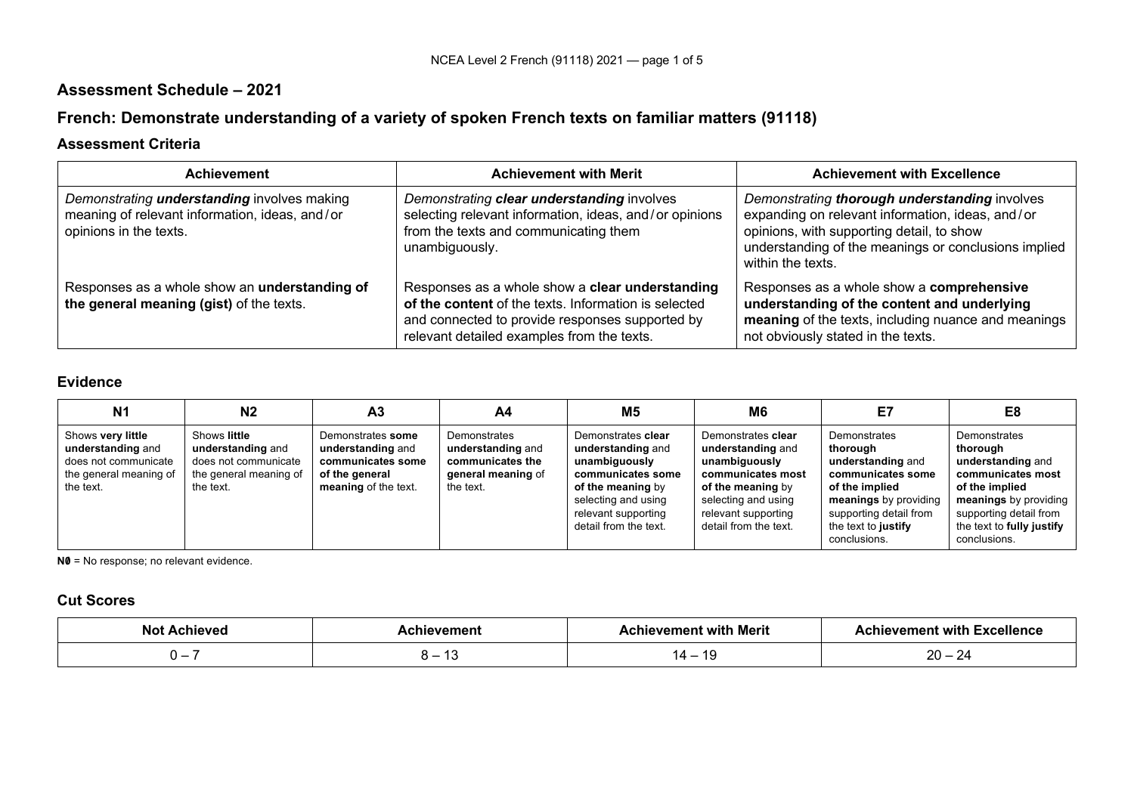## **Assessment Schedule – 2021**

# **French: Demonstrate understanding of a variety of spoken French texts on familiar matters (91118)**

### **Assessment Criteria**

| Achievement                                                                                                                    | <b>Achievement with Merit</b>                                                                                                                                                                            | <b>Achievement with Excellence</b>                                                                                                                                                                                          |
|--------------------------------------------------------------------------------------------------------------------------------|----------------------------------------------------------------------------------------------------------------------------------------------------------------------------------------------------------|-----------------------------------------------------------------------------------------------------------------------------------------------------------------------------------------------------------------------------|
| Demonstrating <b>understanding</b> involves making<br>meaning of relevant information, ideas, and/or<br>opinions in the texts. | Demonstrating clear understanding involves<br>selecting relevant information, ideas, and/or opinions<br>from the texts and communicating them<br>unambiguously.                                          | Demonstrating thorough understanding involves<br>expanding on relevant information, ideas, and/or<br>opinions, with supporting detail, to show<br>understanding of the meanings or conclusions implied<br>within the texts. |
| Responses as a whole show an understanding of<br>the general meaning (gist) of the texts.                                      | Responses as a whole show a clear understanding<br>of the content of the texts. Information is selected<br>and connected to provide responses supported by<br>relevant detailed examples from the texts. | Responses as a whole show a comprehensive<br>understanding of the content and underlying<br>meaning of the texts, including nuance and meanings<br>not obviously stated in the texts.                                       |

### **Evidence**

| N <sub>1</sub>                                                                                        | N2                                                                                               | A <sub>3</sub>                                                                                        | A4                                                                                       | M5                                                                                                                                                                        | M6                                                                                                                                                                        | E7                                                                                                                                                                             | E8                                                                                                                                                                                   |
|-------------------------------------------------------------------------------------------------------|--------------------------------------------------------------------------------------------------|-------------------------------------------------------------------------------------------------------|------------------------------------------------------------------------------------------|---------------------------------------------------------------------------------------------------------------------------------------------------------------------------|---------------------------------------------------------------------------------------------------------------------------------------------------------------------------|--------------------------------------------------------------------------------------------------------------------------------------------------------------------------------|--------------------------------------------------------------------------------------------------------------------------------------------------------------------------------------|
| Shows very little<br>understanding and<br>does not communicate<br>the general meaning of<br>the text. | Shows little<br>understanding and<br>does not communicate<br>the general meaning of<br>the text. | Demonstrates some<br>understanding and<br>communicates some<br>of the general<br>meaning of the text. | Demonstrates<br>understanding and<br>communicates the<br>general meaning of<br>the text. | Demonstrates clear<br>understanding and<br>unambiguously<br>communicates some<br>of the meaning by<br>selecting and using<br>relevant supporting<br>detail from the text. | Demonstrates clear<br>understanding and<br>unambiguously<br>communicates most<br>of the meaning by<br>selecting and using<br>relevant supporting<br>detail from the text. | Demonstrates<br>thorough<br>understanding and<br>communicates some<br>of the implied<br>meanings by providing<br>supporting detail from<br>the text to justify<br>conclusions. | Demonstrates<br>thorough<br>understanding and<br>communicates most<br>of the implied<br>meanings by providing<br>supporting detail from<br>the text to fully justify<br>conclusions. |

**N0** = No response; no relevant evidence.

### **Cut Scores**

| Not<br>Achieveo | hievement | hievement with Merit | <b>Achievement with Excellence</b> |
|-----------------|-----------|----------------------|------------------------------------|
| .               | .         |                      | ററ<br>∠∽<br>∠∪                     |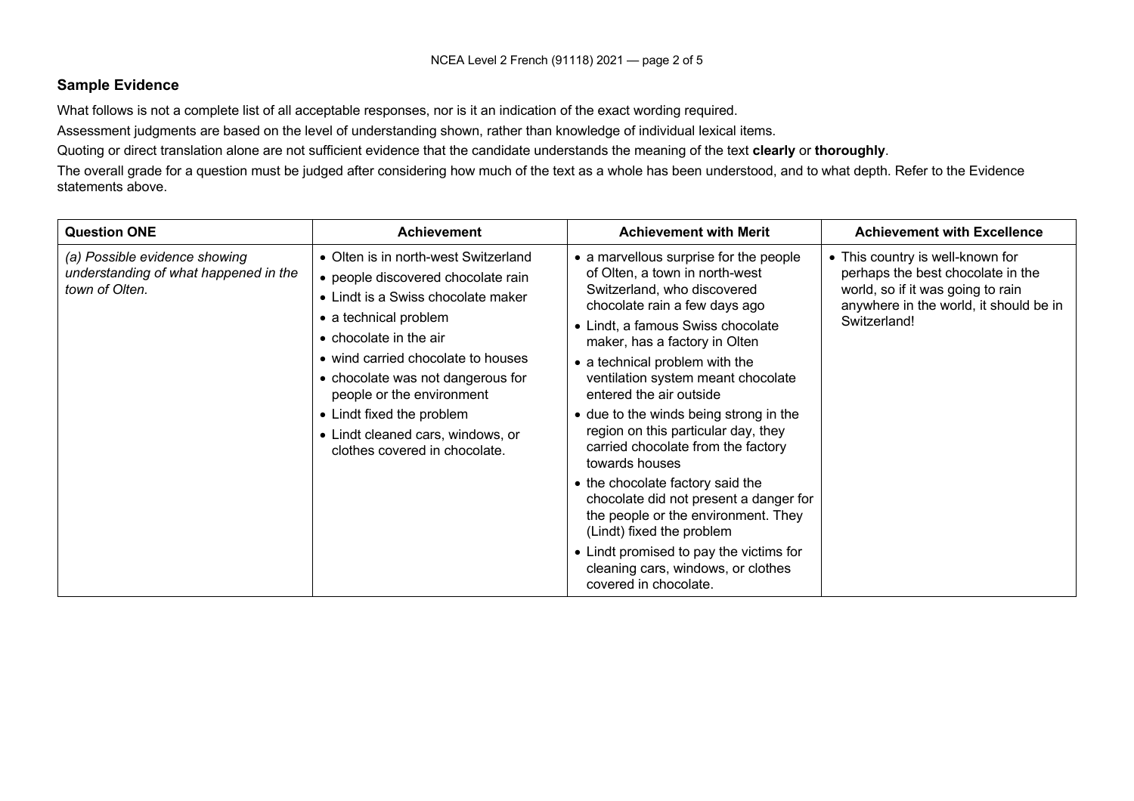#### **Sample Evidence**

What follows is not a complete list of all acceptable responses, nor is it an indication of the exact wording required.

Assessment judgments are based on the level of understanding shown, rather than knowledge of individual lexical items.

Quoting or direct translation alone are not sufficient evidence that the candidate understands the meaning of the text **clearly** or **thoroughly**.

The overall grade for a question must be judged after considering how much of the text as a whole has been understood, and to what depth. Refer to the Evidence statements above.

| <b>Question ONE</b>                                                                      | <b>Achievement</b>                                                                                                                                                                                                                                                                                                                                                             | <b>Achievement with Merit</b>                                                                                                                                                                                                                                                                                                                                                                                                                                                                                                                                                                                                                                                                                          | <b>Achievement with Excellence</b>                                                                                                                                   |
|------------------------------------------------------------------------------------------|--------------------------------------------------------------------------------------------------------------------------------------------------------------------------------------------------------------------------------------------------------------------------------------------------------------------------------------------------------------------------------|------------------------------------------------------------------------------------------------------------------------------------------------------------------------------------------------------------------------------------------------------------------------------------------------------------------------------------------------------------------------------------------------------------------------------------------------------------------------------------------------------------------------------------------------------------------------------------------------------------------------------------------------------------------------------------------------------------------------|----------------------------------------------------------------------------------------------------------------------------------------------------------------------|
| (a) Possible evidence showing<br>understanding of what happened in the<br>town of Olten. | • Olten is in north-west Switzerland<br>• people discovered chocolate rain<br>• Lindt is a Swiss chocolate maker<br>• a technical problem<br>• chocolate in the air<br>• wind carried chocolate to houses<br>• chocolate was not dangerous for<br>people or the environment<br>• Lindt fixed the problem<br>• Lindt cleaned cars, windows, or<br>clothes covered in chocolate. | • a marvellous surprise for the people<br>of Olten, a town in north-west<br>Switzerland, who discovered<br>chocolate rain a few days ago<br>• Lindt, a famous Swiss chocolate<br>maker, has a factory in Olten<br>• a technical problem with the<br>ventilation system meant chocolate<br>entered the air outside<br>• due to the winds being strong in the<br>region on this particular day, they<br>carried chocolate from the factory<br>towards houses<br>• the chocolate factory said the<br>chocolate did not present a danger for<br>the people or the environment. They<br>(Lindt) fixed the problem<br>• Lindt promised to pay the victims for<br>cleaning cars, windows, or clothes<br>covered in chocolate. | • This country is well-known for<br>perhaps the best chocolate in the<br>world, so if it was going to rain<br>anywhere in the world, it should be in<br>Switzerland! |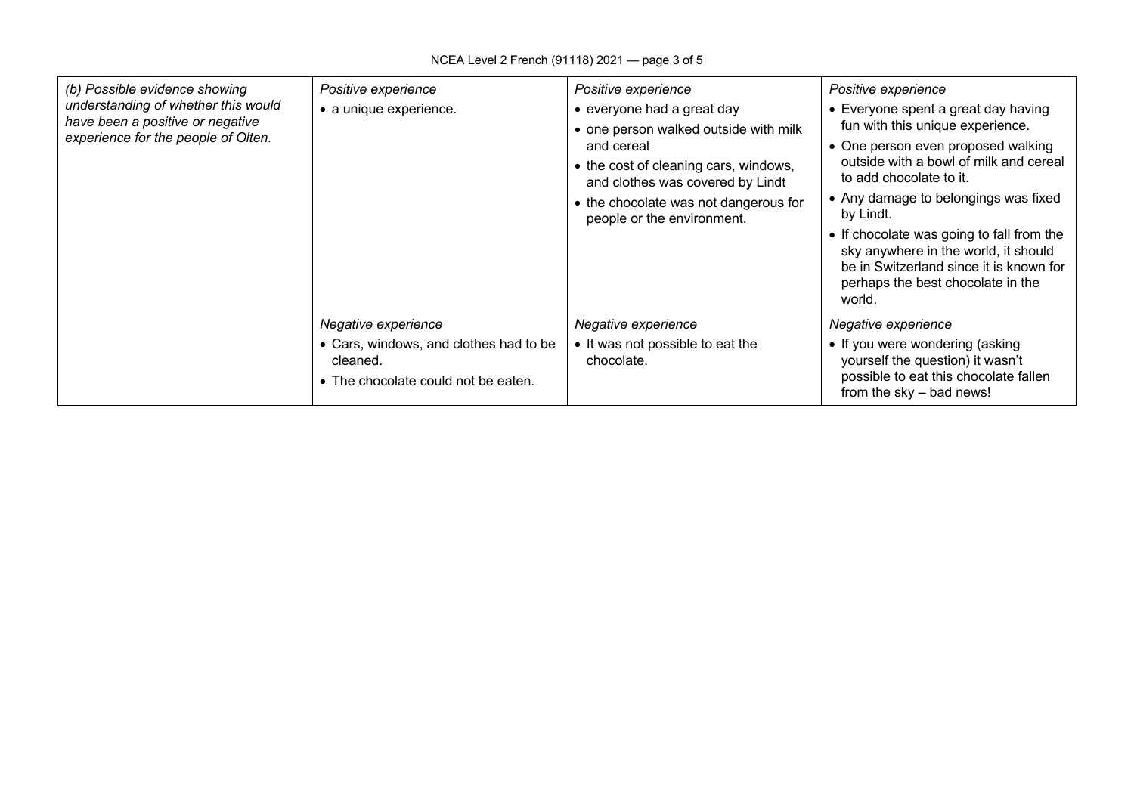| (b) Possible evidence showing<br>understanding of whether this would<br>have been a positive or negative<br>experience for the people of Olten. | Positive experience<br>• a unique experience.                                                                    | Positive experience<br>• everyone had a great day<br>• one person walked outside with milk<br>and cereal<br>• the cost of cleaning cars, windows,<br>and clothes was covered by Lindt<br>• the chocolate was not dangerous for<br>people or the environment. | Positive experience<br>• Everyone spent a great day having<br>fun with this unique experience.<br>• One person even proposed walking<br>outside with a bowl of milk and cereal<br>to add chocolate to it.<br>• Any damage to belongings was fixed<br>by Lindt.<br>• If chocolate was going to fall from the<br>sky anywhere in the world, it should<br>be in Switzerland since it is known for<br>perhaps the best chocolate in the<br>world. |
|-------------------------------------------------------------------------------------------------------------------------------------------------|------------------------------------------------------------------------------------------------------------------|--------------------------------------------------------------------------------------------------------------------------------------------------------------------------------------------------------------------------------------------------------------|-----------------------------------------------------------------------------------------------------------------------------------------------------------------------------------------------------------------------------------------------------------------------------------------------------------------------------------------------------------------------------------------------------------------------------------------------|
|                                                                                                                                                 | Negative experience<br>• Cars, windows, and clothes had to be<br>cleaned.<br>• The chocolate could not be eaten. | Negative experience<br>• It was not possible to eat the<br>chocolate.                                                                                                                                                                                        | Negative experience<br>• If you were wondering (asking<br>yourself the question) it wasn't<br>possible to eat this chocolate fallen<br>from the sky - bad news!                                                                                                                                                                                                                                                                               |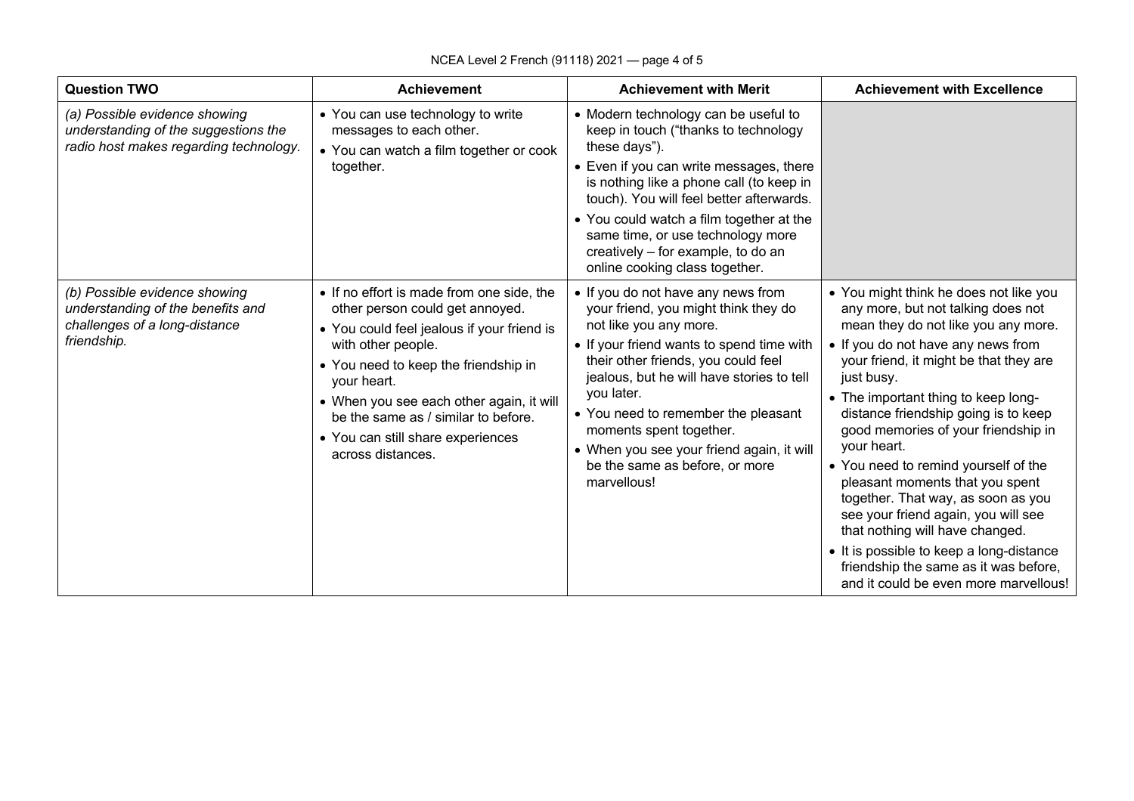| <b>Question TWO</b>                                                                                                | <b>Achievement</b>                                                                                                                                                                                                                                                                                                                                   | <b>Achievement with Merit</b>                                                                                                                                                                                                                                                                                                                                                                                       | <b>Achievement with Excellence</b>                                                                                                                                                                                                                                                                                                                                                                                                                                                                                                                                                                                                                                              |
|--------------------------------------------------------------------------------------------------------------------|------------------------------------------------------------------------------------------------------------------------------------------------------------------------------------------------------------------------------------------------------------------------------------------------------------------------------------------------------|---------------------------------------------------------------------------------------------------------------------------------------------------------------------------------------------------------------------------------------------------------------------------------------------------------------------------------------------------------------------------------------------------------------------|---------------------------------------------------------------------------------------------------------------------------------------------------------------------------------------------------------------------------------------------------------------------------------------------------------------------------------------------------------------------------------------------------------------------------------------------------------------------------------------------------------------------------------------------------------------------------------------------------------------------------------------------------------------------------------|
| (a) Possible evidence showing<br>understanding of the suggestions the<br>radio host makes regarding technology.    | • You can use technology to write<br>messages to each other.<br>• You can watch a film together or cook<br>together.                                                                                                                                                                                                                                 | • Modern technology can be useful to<br>keep in touch ("thanks to technology<br>these days").<br>• Even if you can write messages, there<br>is nothing like a phone call (to keep in<br>touch). You will feel better afterwards.<br>• You could watch a film together at the<br>same time, or use technology more<br>creatively - for example, to do an<br>online cooking class together.                           |                                                                                                                                                                                                                                                                                                                                                                                                                                                                                                                                                                                                                                                                                 |
| (b) Possible evidence showing<br>understanding of the benefits and<br>challenges of a long-distance<br>friendship. | • If no effort is made from one side, the<br>other person could get annoyed.<br>• You could feel jealous if your friend is<br>with other people.<br>• You need to keep the friendship in<br>your heart.<br>• When you see each other again, it will<br>be the same as / similar to before.<br>• You can still share experiences<br>across distances. | • If you do not have any news from<br>your friend, you might think they do<br>not like you any more.<br>• If your friend wants to spend time with<br>their other friends, you could feel<br>jealous, but he will have stories to tell<br>you later.<br>• You need to remember the pleasant<br>moments spent together.<br>• When you see your friend again, it will<br>be the same as before, or more<br>marvellous! | • You might think he does not like you<br>any more, but not talking does not<br>mean they do not like you any more.<br>• If you do not have any news from<br>your friend, it might be that they are<br>just busy.<br>• The important thing to keep long-<br>distance friendship going is to keep<br>good memories of your friendship in<br>your heart.<br>• You need to remind yourself of the<br>pleasant moments that you spent<br>together. That way, as soon as you<br>see your friend again, you will see<br>that nothing will have changed.<br>• It is possible to keep a long-distance<br>friendship the same as it was before,<br>and it could be even more marvellous! |